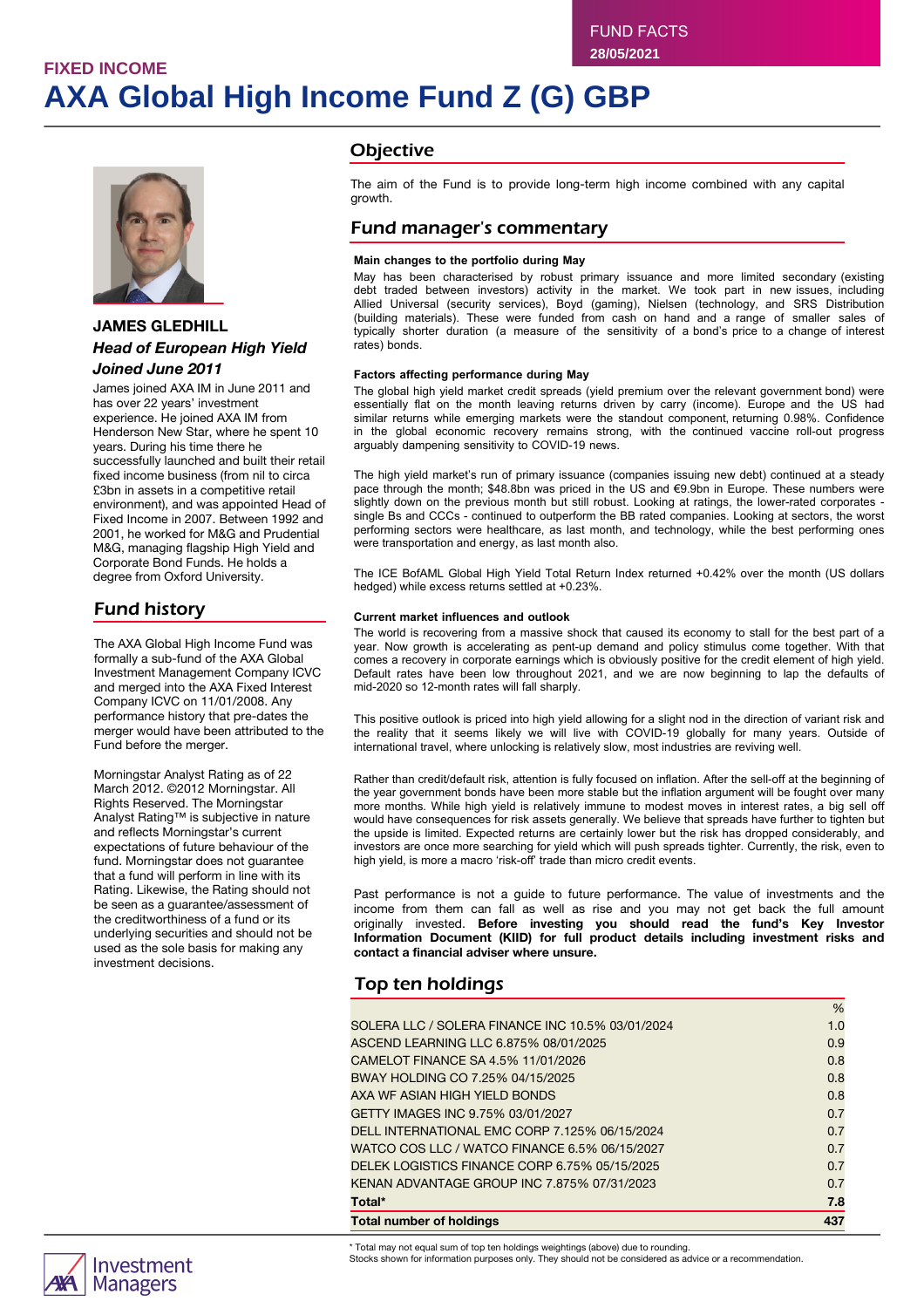# **FIXED INCOME AXA Global High Income Fund Z (G) GBP**



### **JAMES GLEDHILL** *Head of European High Yield Joined June 2011*

James joined AXA IM in June 2011 and has over 22 years' investment experience. He joined AXA IM from Henderson New Star, where he spent 10 years. During his time there he successfully launched and built their retail fixed income business (from nil to circa £3bn in assets in a competitive retail environment), and was appointed Head of Fixed Income in 2007. Between 1992 and 2001, he worked for M&G and Prudential M&G, managing flagship High Yield and Corporate Bond Funds. He holds a degree from Oxford University.

## Fund history

The AXA Global High Income Fund was formally a sub-fund of the AXA Global Investment Management Company ICVC and merged into the AXA Fixed Interest Company ICVC on 11/01/2008. Any performance history that pre-dates the merger would have been attributed to the Fund before the merger.

Morningstar Analyst Rating as of 22 March 2012. ©2012 Morningstar. All Rights Reserved. The Morningstar Analyst Rating™ is subjective in nature and reflects Morningstar's current expectations of future behaviour of the fund. Morningstar does not guarantee that a fund will perform in line with its Rating. Likewise, the Rating should not be seen as a guarantee/assessment of the creditworthiness of a fund or its underlying securities and should not be used as the sole basis for making any investment decisions.

### **Objective**

The aim of the Fund is to provide long-term high income combined with any capital growth.

### Fund manager's commentary

#### **Main changes to the portfolio during May**

May has been characterised by robust primary issuance and more limited secondary (existing debt traded between investors) activity in the market. We took part in new issues, including Allied Universal (security services), Boyd (gaming), Nielsen (technology, and SRS Distribution (building materials). These were funded from cash on hand and a range of smaller sales of typically shorter duration (a measure of the sensitivity of a bond's price to a change of interest rates) bonds.

#### **Factors affecting performance during May**

The global high yield market credit spreads (yield premium over the relevant government bond) were essentially flat on the month leaving returns driven by carry (income). Europe and the US had similar returns while emerging markets were the standout component, returning 0.98%. Confidence in the global economic recovery remains strong, with the continued vaccine roll-out progress arguably dampening sensitivity to COVID-19 news.

The high yield market's run of primary issuance (companies issuing new debt) continued at a steady pace through the month; \$48.8bn was priced in the US and €9.9bn in Europe. These numbers were slightly down on the previous month but still robust. Looking at ratings, the lower-rated corporates single Bs and CCCs - continued to outperform the BB rated companies. Looking at sectors, the worst performing sectors were healthcare, as last month, and technology, while the best performing ones were transportation and energy, as last month also.

The ICE BofAML Global High Yield Total Return Index returned +0.42% over the month (US dollars hedged) while excess returns settled at +0.23%.

#### **Current market influences and outlook**

The world is recovering from a massive shock that caused its economy to stall for the best part of a year. Now growth is accelerating as pent-up demand and policy stimulus come together. With that comes a recovery in corporate earnings which is obviously positive for the credit element of high yield. Default rates have been low throughout 2021, and we are now beginning to lap the defaults of mid-2020 so 12-month rates will fall sharply.

This positive outlook is priced into high yield allowing for a slight nod in the direction of variant risk and the reality that it seems likely we will live with COVID-19 globally for many years. Outside of international travel, where unlocking is relatively slow, most industries are reviving well.

Rather than credit/default risk, attention is fully focused on inflation. After the sell-off at the beginning of the year government bonds have been more stable but the inflation argument will be fought over many more months. While high yield is relatively immune to modest moves in interest rates, a big sell off would have consequences for risk assets generally. We believe that spreads have further to tighten but the upside is limited. Expected returns are certainly lower but the risk has dropped considerably, and investors are once more searching for yield which will push spreads tighter. Currently, the risk, even to high yield, is more a macro 'risk-off' trade than micro credit events.

Past performance is not a guide to future performance. The value of investments and the income from them can fall as well as rise and you may not get back the full amount originally invested. **Before investing you should read the fund's Key Investor Information Document (KIID) for full product details including investment risks and contact a financial adviser where unsure.**

### Top ten holdings

| <b>Total number of holdings</b>                  | 437  |
|--------------------------------------------------|------|
| Total*                                           | 7.8  |
| KENAN ADVANTAGE GROUP INC 7.875% 07/31/2023      | 0.7  |
| DELEK LOGISTICS FINANCE CORP 6.75% 05/15/2025    | 0.7  |
| WATCO COS LLC / WATCO FINANCE 6.5% 06/15/2027    | 0.7  |
| DELL INTERNATIONAL EMC CORP 7.125% 06/15/2024    | 0.7  |
| GETTY IMAGES INC 9.75% 03/01/2027                | 0.7  |
| AXA WF ASIAN HIGH YIELD BONDS                    | 0.8  |
| BWAY HOLDING CO 7.25% 04/15/2025                 | 0.8  |
| CAMELOT FINANCE SA 4.5% 11/01/2026               | 0.8  |
| ASCEND LEARNING LLC 6.875% 08/01/2025            | 0.9  |
| SOLERA LLC / SOLERA FINANCE INC 10.5% 03/01/2024 | 1.0  |
|                                                  | $\%$ |



\* Total may not equal sum of top ten holdings weightings (above) due to rounding.

Stocks shown for information purposes only. They should not be considered as advice or a recommendation.